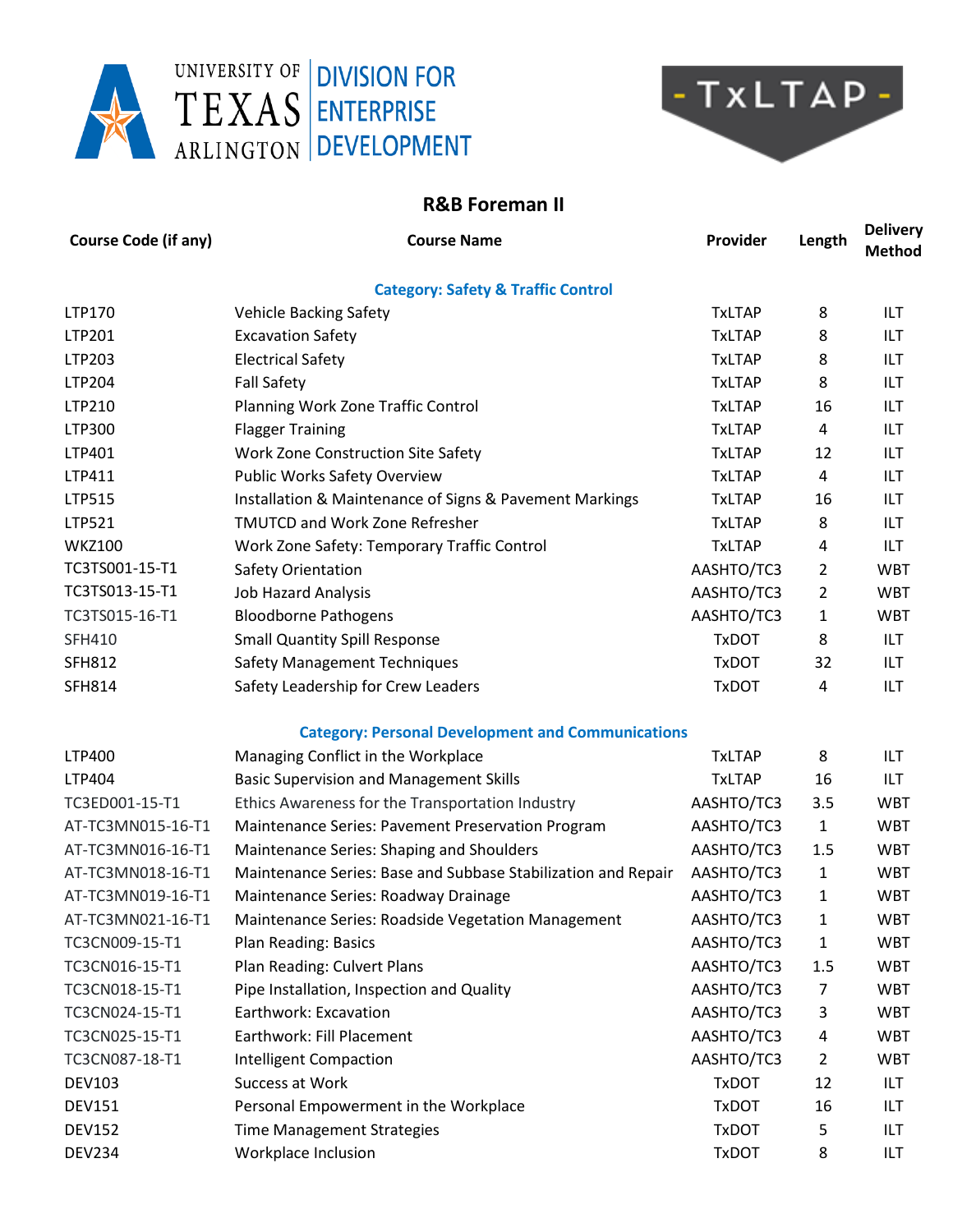



## **R&B Foreman II**

| <b>Course Code (if any)</b>                   | <b>Course Name</b>                                            | Provider      | Length         | <b>Delivery</b><br><b>Method</b> |  |  |  |
|-----------------------------------------------|---------------------------------------------------------------|---------------|----------------|----------------------------------|--|--|--|
| <b>Category: Safety &amp; Traffic Control</b> |                                                               |               |                |                                  |  |  |  |
| LTP170                                        | <b>Vehicle Backing Safety</b>                                 | <b>TxLTAP</b> | 8              | ILT                              |  |  |  |
| LTP201                                        | <b>Excavation Safety</b>                                      | <b>TxLTAP</b> | 8              | ILT                              |  |  |  |
| LTP203                                        | <b>Electrical Safety</b>                                      | <b>TxLTAP</b> | 8              | ILT                              |  |  |  |
| LTP204                                        | <b>Fall Safety</b>                                            | <b>TxLTAP</b> | 8              | ILT                              |  |  |  |
| LTP210                                        | Planning Work Zone Traffic Control                            | <b>TxLTAP</b> | 16             | ILT                              |  |  |  |
| LTP300                                        | <b>Flagger Training</b>                                       | <b>TxLTAP</b> | 4              | ILT                              |  |  |  |
| LTP401                                        | Work Zone Construction Site Safety                            | <b>TxLTAP</b> | 12             | ILT                              |  |  |  |
| LTP411                                        | <b>Public Works Safety Overview</b>                           | <b>TxLTAP</b> | 4              | ILT                              |  |  |  |
| LTP515                                        | Installation & Maintenance of Signs & Pavement Markings       | <b>TxLTAP</b> | 16             | ILT                              |  |  |  |
| LTP521                                        | <b>TMUTCD and Work Zone Refresher</b>                         | <b>TxLTAP</b> | 8              | ILT                              |  |  |  |
| <b>WKZ100</b>                                 | Work Zone Safety: Temporary Traffic Control                   | <b>TxLTAP</b> | 4              | ILT                              |  |  |  |
| TC3TS001-15-T1                                | Safety Orientation                                            | AASHTO/TC3    | 2              | <b>WBT</b>                       |  |  |  |
| TC3TS013-15-T1                                | <b>Job Hazard Analysis</b>                                    | AASHTO/TC3    | 2              | <b>WBT</b>                       |  |  |  |
| TC3TS015-16-T1                                | <b>Bloodborne Pathogens</b>                                   | AASHTO/TC3    | 1              | <b>WBT</b>                       |  |  |  |
| <b>SFH410</b>                                 | <b>Small Quantity Spill Response</b>                          | <b>TxDOT</b>  | 8              | ILT                              |  |  |  |
| <b>SFH812</b>                                 | <b>Safety Management Techniques</b>                           | <b>TxDOT</b>  | 32             | ILT                              |  |  |  |
| <b>SFH814</b>                                 | Safety Leadership for Crew Leaders                            | <b>TxDOT</b>  | 4              | ILT                              |  |  |  |
|                                               | <b>Category: Personal Development and Communications</b>      |               |                |                                  |  |  |  |
| LTP400                                        | Managing Conflict in the Workplace                            | <b>TxLTAP</b> | 8              | ILT                              |  |  |  |
| LTP404                                        | <b>Basic Supervision and Management Skills</b>                | <b>TxLTAP</b> | 16             | ILT                              |  |  |  |
| TC3ED001-15-T1                                | Ethics Awareness for the Transportation Industry              | AASHTO/TC3    | 3.5            | <b>WBT</b>                       |  |  |  |
| AT-TC3MN015-16-T1                             | Maintenance Series: Pavement Preservation Program             | AASHTO/TC3    | $\mathbf{1}$   | <b>WBT</b>                       |  |  |  |
| AT-TC3MN016-16-T1                             | Maintenance Series: Shaping and Shoulders                     | AASHTO/TC3    | 1.5            | <b>WBT</b>                       |  |  |  |
| AT-TC3MN018-16-T1                             | Maintenance Series: Base and Subbase Stabilization and Repair | AASHTO/TC3    | $\mathbf{1}$   | <b>WBT</b>                       |  |  |  |
| AT-TC3MN019-16-T1                             | Maintenance Series: Roadway Drainage                          | AASHTO/TC3    | 1              | <b>WBT</b>                       |  |  |  |
| AT-TC3MN021-16-T1                             | Maintenance Series: Roadside Vegetation Management            | AASHTO/TC3    | 1              | <b>WBT</b>                       |  |  |  |
| TC3CN009-15-T1                                | Plan Reading: Basics                                          | AASHTO/TC3    | $\mathbf{1}$   | <b>WBT</b>                       |  |  |  |
| TC3CN016-15-T1                                | Plan Reading: Culvert Plans                                   | AASHTO/TC3    | 1.5            | <b>WBT</b>                       |  |  |  |
| TC3CN018-15-T1                                | Pipe Installation, Inspection and Quality                     | AASHTO/TC3    | 7              | <b>WBT</b>                       |  |  |  |
| TC3CN024-15-T1                                | Earthwork: Excavation                                         | AASHTO/TC3    | 3              | <b>WBT</b>                       |  |  |  |
| TC3CN025-15-T1                                | Earthwork: Fill Placement                                     | AASHTO/TC3    | 4              | <b>WBT</b>                       |  |  |  |
| TC3CN087-18-T1                                | <b>Intelligent Compaction</b>                                 | AASHTO/TC3    | $\overline{2}$ | <b>WBT</b>                       |  |  |  |
| <b>DEV103</b>                                 | Success at Work                                               | <b>TxDOT</b>  | 12             | <b>ILT</b>                       |  |  |  |
| <b>DEV151</b>                                 | Personal Empowerment in the Workplace                         | <b>TxDOT</b>  | 16             | ILT                              |  |  |  |
| <b>DEV152</b>                                 | <b>Time Management Strategies</b>                             | <b>TxDOT</b>  | 5              | ILT                              |  |  |  |
| <b>DEV234</b>                                 | Workplace Inclusion                                           | <b>TxDOT</b>  | 8              | ILT                              |  |  |  |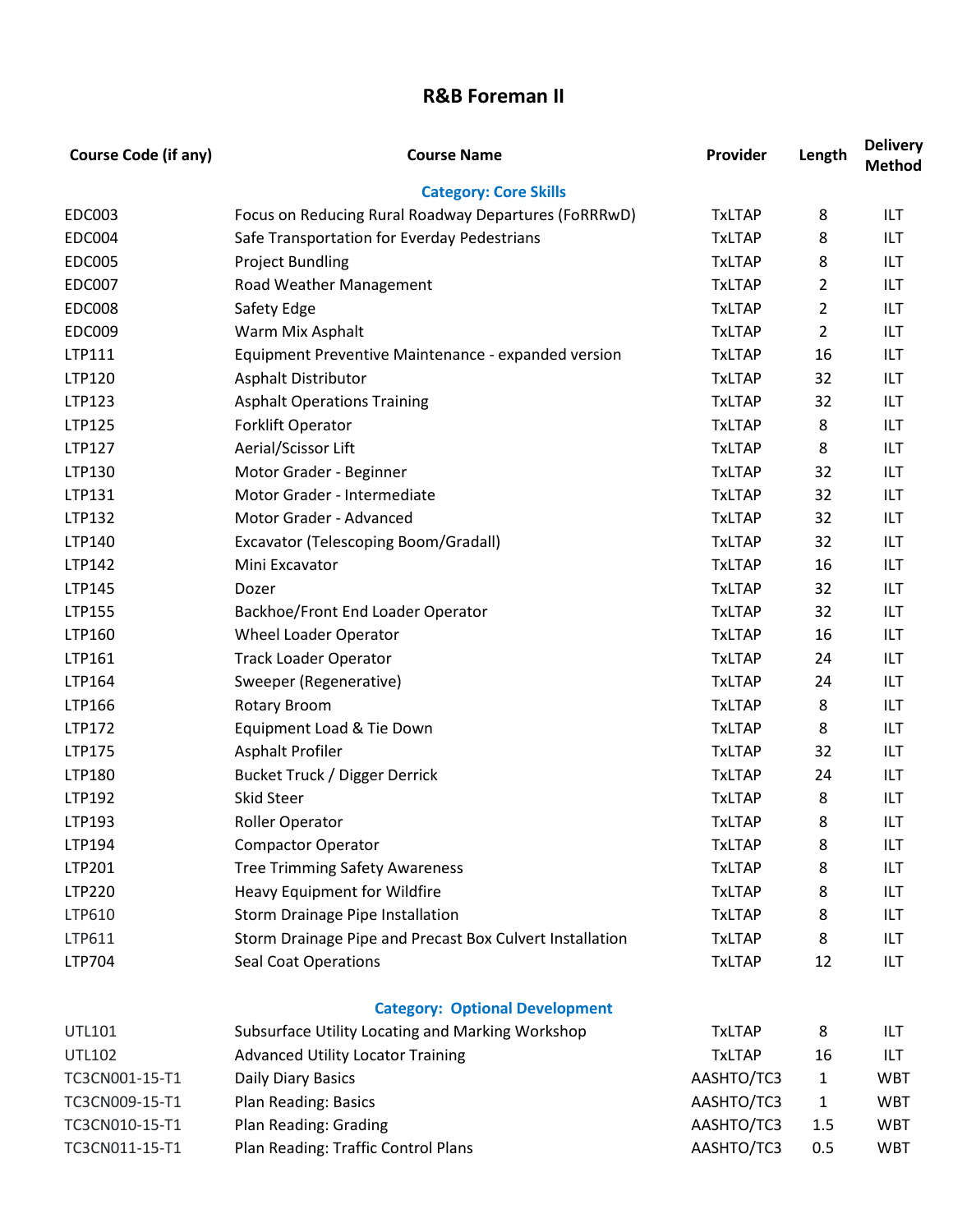## **R&B Foreman II**

| <b>Course Code (if any)</b> | <b>Course Name</b>                                       | Provider      | Length         | <b>Delivery</b><br><b>Method</b> |
|-----------------------------|----------------------------------------------------------|---------------|----------------|----------------------------------|
|                             | <b>Category: Core Skills</b>                             |               |                |                                  |
| <b>EDC003</b>               | Focus on Reducing Rural Roadway Departures (FoRRRwD)     | <b>TxLTAP</b> | 8              | ILT                              |
| <b>EDC004</b>               | Safe Transportation for Everday Pedestrians              | <b>TxLTAP</b> | 8              | ILT                              |
| <b>EDC005</b>               | <b>Project Bundling</b>                                  | <b>TxLTAP</b> | 8              | ILT                              |
| <b>EDC007</b>               | Road Weather Management                                  | <b>TxLTAP</b> | 2              | <b>ILT</b>                       |
| <b>EDC008</b>               | Safety Edge                                              | <b>TxLTAP</b> | 2              | ILT                              |
| <b>EDC009</b>               | Warm Mix Asphalt                                         | <b>TxLTAP</b> | $\overline{2}$ | ILT                              |
| LTP111                      | Equipment Preventive Maintenance - expanded version      | <b>TxLTAP</b> | 16             | ILT                              |
| LTP120                      | <b>Asphalt Distributor</b>                               | <b>TxLTAP</b> | 32             | <b>ILT</b>                       |
| LTP123                      | <b>Asphalt Operations Training</b>                       | <b>TxLTAP</b> | 32             | ILT                              |
| LTP125                      | Forklift Operator                                        | <b>TxLTAP</b> | 8              | <b>ILT</b>                       |
| LTP127                      | Aerial/Scissor Lift                                      | <b>TxLTAP</b> | 8              | <b>ILT</b>                       |
| LTP130                      | Motor Grader - Beginner                                  | <b>TxLTAP</b> | 32             | <b>ILT</b>                       |
| LTP131                      | Motor Grader - Intermediate                              | <b>TxLTAP</b> | 32             | ILT                              |
| LTP132                      | Motor Grader - Advanced                                  | <b>TxLTAP</b> | 32             | ILT                              |
| LTP140                      | Excavator (Telescoping Boom/Gradall)                     | <b>TxLTAP</b> | 32             | ILT                              |
| LTP142                      | Mini Excavator                                           | <b>TxLTAP</b> | 16             | <b>ILT</b>                       |
| LTP145                      | Dozer                                                    | <b>TxLTAP</b> | 32             | ILT                              |
| LTP155                      | Backhoe/Front End Loader Operator                        | <b>TxLTAP</b> | 32             | ILT                              |
| LTP160                      | Wheel Loader Operator                                    | <b>TxLTAP</b> | 16             | ILT                              |
| LTP161                      | <b>Track Loader Operator</b>                             | <b>TxLTAP</b> | 24             | <b>ILT</b>                       |
| LTP164                      | Sweeper (Regenerative)                                   | <b>TxLTAP</b> | 24             | <b>ILT</b>                       |
| LTP166                      | <b>Rotary Broom</b>                                      | <b>TxLTAP</b> | 8              | ILT                              |
| LTP172                      | Equipment Load & Tie Down                                | <b>TxLTAP</b> | 8              | ILT                              |
| LTP175                      | Asphalt Profiler                                         | <b>TxLTAP</b> | 32             | <b>ILT</b>                       |
| LTP180                      | Bucket Truck / Digger Derrick                            | <b>TxLTAP</b> | 24             | ILT                              |
| LTP192                      | <b>Skid Steer</b>                                        | <b>TxLTAP</b> | 8              | ILT                              |
| LTP193                      | <b>Roller Operator</b>                                   | <b>TxLTAP</b> | 8              | ILT                              |
| LTP194                      | <b>Compactor Operator</b>                                | <b>TxLTAP</b> | 8              | ILT                              |
| LTP201                      | <b>Tree Trimming Safety Awareness</b>                    | <b>TxLTAP</b> | 8              | ILT                              |
| LTP220                      | Heavy Equipment for Wildfire                             | <b>TxLTAP</b> | 8              | ILT                              |
| LTP610                      | Storm Drainage Pipe Installation                         | <b>TxLTAP</b> | 8              | ILT                              |
| LTP611                      | Storm Drainage Pipe and Precast Box Culvert Installation | <b>TxLTAP</b> | 8              | ILT                              |
| LTP704                      | <b>Seal Coat Operations</b>                              | <b>TxLTAP</b> | 12             | ILT                              |
|                             | <b>Category: Optional Development</b>                    |               |                |                                  |
| UTL101                      | Subsurface Utility Locating and Marking Workshop         | <b>TxLTAP</b> | 8              | ILT                              |
| <b>UTL102</b>               | <b>Advanced Utility Locator Training</b>                 | <b>TxLTAP</b> | 16             | ILT                              |
| TC3CN001-15-T1              | Daily Diary Basics                                       | AASHTO/TC3    | 1              | <b>WBT</b>                       |
| TC3CN009-15-T1              | Plan Reading: Basics                                     | AASHTO/TC3    | 1              | <b>WBT</b>                       |
| TC3CN010-15-T1              | Plan Reading: Grading                                    | AASHTO/TC3    | 1.5            | <b>WBT</b>                       |
| TC3CN011-15-T1              | Plan Reading: Traffic Control Plans                      | AASHTO/TC3    | 0.5            | <b>WBT</b>                       |